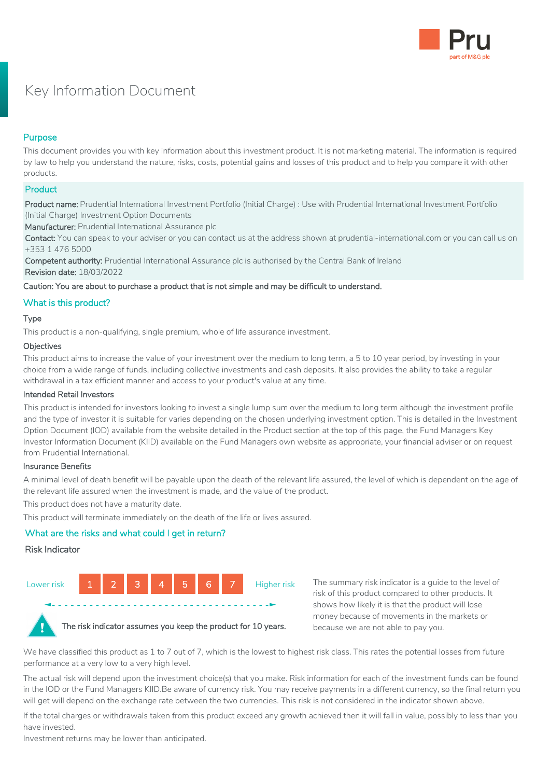

# Key Information Document

# Purpose

This document provides you with key information about this investment product. It is not marketing material. The information is required by law to help you understand the nature, risks, costs, potential gains and losses of this product and to help you compare it with other products.

## **Product**

Product name: Prudential International Investment Portfolio (Initial Charge) : Use with Prudential International Investment Portfolio (Initial Charge) Investment Option Documents

Manufacturer: Prudential International Assurance plc

Contact: You can speak to your adviser or you can contact us at the address shown at prudential-international.com or you can call us on +353 1 476 5000

Competent authority: Prudential International Assurance plc is authorised by the Central Bank of Ireland Revision date: 18/03/2022

Caution: You are about to purchase a product that is not simple and may be difficult to understand.

# What is this product?

#### Type

This product is a non-qualifying, single premium, whole of life assurance investment.

#### **Objectives**

This product aims to increase the value of your investment over the medium to long term, a 5 to 10 year period, by investing in your choice from a wide range of funds, including collective investments and cash deposits. It also provides the ability to take a regular withdrawal in a tax efficient manner and access to your product's value at any time.

#### Intended Retail Investors

This product is intended for investors looking to invest a single lump sum over the medium to long term although the investment profile and the type of investor it is suitable for varies depending on the chosen underlying investment option. This is detailed in the Investment Option Document (IOD) available from the website detailed in the Product section at the top of this page, the Fund Managers Key Investor Information Document (KIID) available on the Fund Managers own website as appropriate, your financial adviser or on request from Prudential International.

#### Insurance Benefits

A minimal level of death benefit will be payable upon the death of the relevant life assured, the level of which is dependent on the age of the relevant life assured when the investment is made, and the value of the product.

This product does not have a maturity date.

This product will terminate immediately on the death of the life or lives assured.

# What are the risks and what could I get in return?

#### Risk Indicator



 **◄- - - - - - - - - - - - - - - - - - - - - - - - - - - - - - - - - - -►**

The summary risk indicator is a guide to the level of risk of this product compared to other products. It shows how likely it is that the product will lose money because of movements in the markets or because we are not able to pay you.



The risk indicator assumes you keep the product for 10 years.

We have classified this product as 1 to 7 out of 7, which is the lowest to highest risk class. This rates the potential losses from future performance at a very low to a very high level.

The actual risk will depend upon the investment choice(s) that you make. Risk information for each of the investment funds can be found in the IOD or the Fund Managers KIID.Be aware of currency risk. You may receive payments in a different currency, so the final return you will get will depend on the exchange rate between the two currencies. This risk is not considered in the indicator shown above.

If the total charges or withdrawals taken from this product exceed any growth achieved then it will fall in value, possibly to less than you have invested.

Investment returns may be lower than anticipated.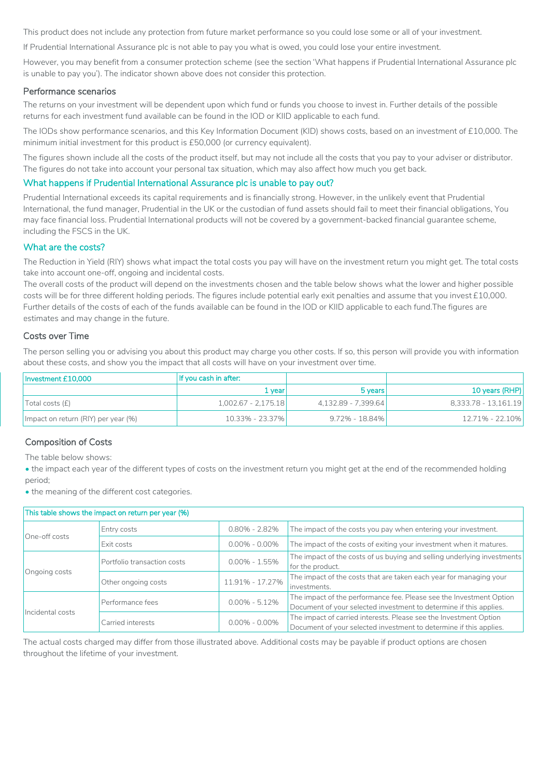This product does not include any protection from future market performance so you could lose some or all of your investment.

If Prudential International Assurance plc is not able to pay you what is owed, you could lose your entire investment.

However, you may benefit from a consumer protection scheme (see the section 'What happens if Prudential International Assurance plc is unable to pay you'). The indicator shown above does not consider this protection.

## Performance scenarios

The returns on your investment will be dependent upon which fund or funds you choose to invest in. Further details of the possible returns for each investment fund available can be found in the IOD or KIID applicable to each fund.

The IODs show performance scenarios, and this Key Information Document (KID) shows costs, based on an investment of £10,000. The minimum initial investment for this product is £50,000 (or currency equivalent).

The figures shown include all the costs of the product itself, but may not include all the costs that you pay to your adviser or distributor. The figures do not take into account your personal tax situation, which may also affect how much you get back.

## What happens if Prudential International Assurance plc is unable to pay out?

Prudential International exceeds its capital requirements and is financially strong. However, in the unlikely event that Prudential International, the fund manager, Prudential in the UK or the custodian of fund assets should fail to meet their financial obligations, You may face financial loss. Prudential International products will not be covered by a government-backed financial guarantee scheme, including the FSCS in the UK.

## What are the costs?

The Reduction in Yield (RIY) shows what impact the total costs you pay will have on the investment return you might get. The total costs take into account one-off, ongoing and incidental costs.

The overall costs of the product will depend on the investments chosen and the table below shows what the lower and higher possible costs will be for three different holding periods. The figures include potential early exit penalties and assume that you invest £10,000. Further details of the costs of each of the funds available can be found in the IOD or KIID applicable to each fund.The figures are estimates and may change in the future.

## Costs over Time

The person selling you or advising you about this product may charge you other costs. If so, this person will provide you with information about these costs, and show you the impact that all costs will have on your investment over time.

| Investment £10,000                  | If you cash in after: |                     |                      |
|-------------------------------------|-----------------------|---------------------|----------------------|
|                                     | 1 vear                | 5 years             | 10 years (RHP)       |
| Total costs (f)                     | 1,002.67 - 2,175.18   | 4,132.89 - 7,399.64 | 8.333.78 - 13.161.19 |
| Impact on return (RIY) per year (%) | 10.33% - 23.37%       | $9.72\% - 18.84\%$  | 12.71% - 22.10%      |

# Composition of Costs

The table below shows:

• the impact each year of the different types of costs on the investment return you might get at the end of the recommended holding period;

• the meaning of the different cost categories.

| This table shows the impact on return per year (%) |                                       |                   |                                                                                                                                           |  |  |
|----------------------------------------------------|---------------------------------------|-------------------|-------------------------------------------------------------------------------------------------------------------------------------------|--|--|
| One-off costs                                      | Entry costs                           | $0.80\% - 2.82\%$ | The impact of the costs you pay when entering your investment.                                                                            |  |  |
|                                                    | Exit costs                            | $0.00\% - 0.00\%$ | The impact of the costs of exiting your investment when it matures.                                                                       |  |  |
| Ongoing costs                                      | Portfolio transaction costs           | $0.00\% - 1.55\%$ | The impact of the costs of us buying and selling underlying investments<br>for the product.                                               |  |  |
|                                                    | Other ongoing costs                   | 11.91% - 17.27%   | The impact of the costs that are taken each year for managing your<br>investments.                                                        |  |  |
| Incidental costs                                   | $0.00\% - 5.12\%$<br>Performance fees |                   | The impact of the performance fee. Please see the Investment Option<br>Document of your selected investment to determine if this applies. |  |  |
|                                                    | Carried interests                     | $0.00\% - 0.00\%$ | The impact of carried interests. Please see the Investment Option<br>Document of your selected investment to determine if this applies.   |  |  |

The actual costs charged may differ from those illustrated above. Additional costs may be payable if product options are chosen throughout the lifetime of your investment.